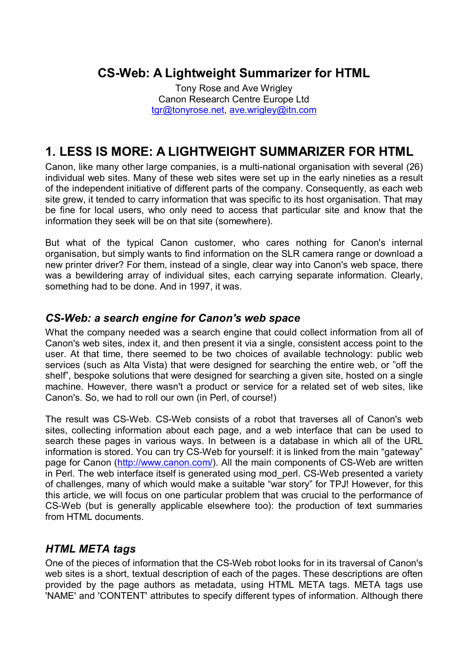# **CS-Web: A Lightweight Summarizer for HTML**

Tony Rose and Ave Wrigley Canon Research Centre Europe Ltd tgr@tonyrose.net, ave.wrigley@itn.com

# **1. LESS IS MORE: A LIGHTWEIGHT SUMMARIZER FOR HTML**

Canon, like many other large companies, is a multi-national organisation with several (26) individual web sites. Many of these web sites were set up in the early nineties as a result of the independent initiative of different parts of the company. Consequently, as each web site grew, it tended to carry information that was specific to its host organisation. That may be fine for local users, who only need to access that particular site and know that the information they seek will be on that site (somewhere).

But what of the typical Canon customer, who cares nothing for Canon's internal organisation, but simply wants to find information on the SLR camera range or download a new printer driver? For them, instead of a single, clear way into Canon's web space, there was a bewildering array of individual sites, each carrying separate information. Clearly, something had to be done. And in 1997, it was.

## *CS-Web: a search engine for Canon's web space*

What the company needed was a search engine that could collect information from all of Canon's web sites, index it, and then present it via a single, consistent access point to the user. At that time, there seemed to be two choices of available technology: public web services (such as Alta Vista) that were designed for searching the entire web, or "off the shelf<sup>"</sup>, bespoke solutions that were designed for searching a given site, hosted on a single machine. However, there wasn't a product or service for a related set of web sites, like Canon's. So, we had to roll our own (in Perl, of course!)

The result was CS-Web. CS-Web consists of a robot that traverses all of Canon's web sites, collecting information about each page, and a web interface that can be used to search these pages in various ways. In between is a database in which all of the URL information is stored. You can try CS-Web for yourself: it is linked from the main "gateway" page for Canon (http://www.canon.com/). All the main components of CS-Web are written in Perl. The web interface itself is generated using mod\_perl. CS-Web presented a variety of challenges, many of which would make a suitable "war story" for TPJ! However, for this this article, we will focus on one particular problem that was crucial to the performance of CS-Web (but is generally applicable elsewhere too): the production of text summaries from HTML documents.

## *HTML META tags*

One of the pieces of information that the CS-Web robot looks for in its traversal of Canon's web sites is a short, textual description of each of the pages. These descriptions are often provided by the page authors as metadata, using HTML META tags. META tags use 'NAME' and 'CONTENT' attributes to specify different types of information. Although there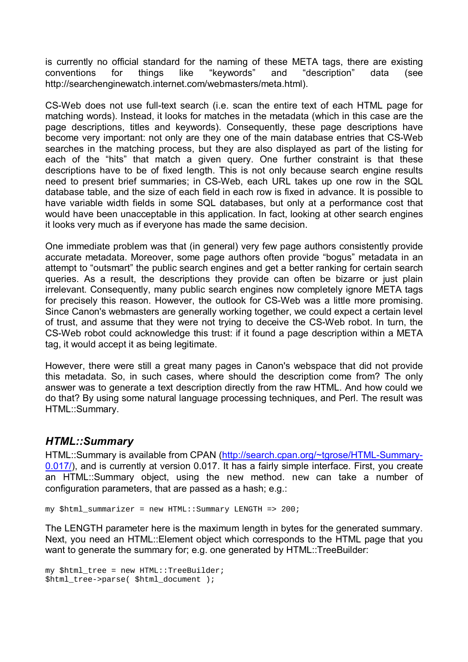is currently no official standard for the naming of these META tags, there are existing conventions for things like "keywords" and "description" data (see http://searchenginewatch.internet.com/webmasters/meta.html).

CS-Web does not use full-text search (i.e. scan the entire text of each HTML page for matching words). Instead, it looks for matches in the metadata (which in this case are the page descriptions, titles and keywords). Consequently, these page descriptions have become very important: not only are they one of the main database entries that CS-Web searches in the matching process, but they are also displayed as part of the listing for each of the "hits" that match a given query. One further constraint is that these descriptions have to be of fixed length. This is not only because search engine results need to present brief summaries; in CS-Web, each URL takes up one row in the SQL database table, and the size of each field in each row is fixed in advance. It is possible to have variable width fields in some SQL databases, but only at a performance cost that would have been unacceptable in this application. In fact, looking at other search engines it looks very much as if everyone has made the same decision.

One immediate problem was that (in general) very few page authors consistently provide accurate metadata. Moreover, some page authors often provide "bogus" metadata in an attempt to "outsmart" the public search engines and get a better ranking for certain search queries. As a result, the descriptions they provide can often be bizarre or just plain irrelevant. Consequently, many public search engines now completely ignore META tags for precisely this reason. However, the outlook for CS-Web was a little more promising. Since Canon's webmasters are generally working together, we could expect a certain level of trust, and assume that they were not trying to deceive the CS-Web robot. In turn, the CS-Web robot could acknowledge this trust: if it found a page description within a META tag, it would accept it as being legitimate.

However, there were still a great many pages in Canon's webspace that did not provide this metadata. So, in such cases, where should the description come from? The only answer was to generate a text description directly from the raw HTML. And how could we do that? By using some natural language processing techniques, and Perl. The result was HTML::Summary.

### *HTML::Summary*

HTML::Summary is available from CPAN (http://search.cpan.org/~tgrose/HTML-Summary-0.017/), and is currently at version 0.017. It has a fairly simple interface. First, you create an HTML::Summary object, using the new method. new can take a number of configuration parameters, that are passed as a hash; e.g.:

my \$html\_summarizer = new HTML::Summary LENGTH => 200;

The LENGTH parameter here is the maximum length in bytes for the generated summary. Next, you need an HTML::Element object which corresponds to the HTML page that you want to generate the summary for; e.g. one generated by HTML::TreeBuilder:

```
my $html_tree = new HTML::TreeBuilder; 
$html_tree->parse( $html_document );
```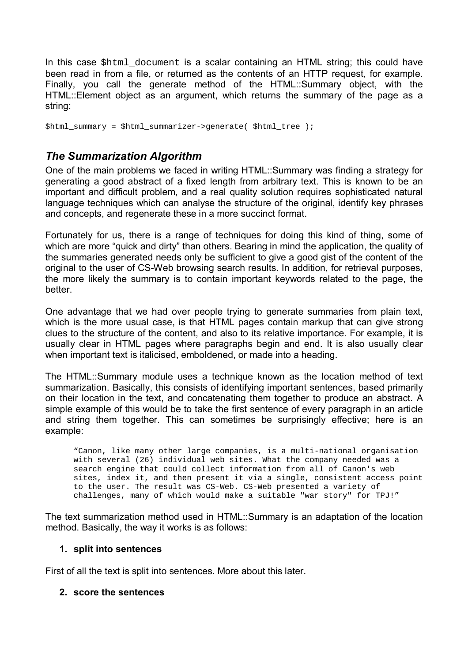In this case \$html\_document is a scalar containing an HTML string; this could have been read in from a file, or returned as the contents of an HTTP request, for example. Finally, you call the generate method of the HTML::Summary object, with the HTML::Element object as an argument, which returns the summary of the page as a string:

\$html summary = \$html summarizer->generate( \$html tree );

## *The Summarization Algorithm*

One of the main problems we faced in writing HTML::Summary was finding a strategy for generating a good abstract of a fixed length from arbitrary text. This is known to be an important and difficult problem, and a real quality solution requires sophisticated natural language techniques which can analyse the structure of the original, identify key phrases and concepts, and regenerate these in a more succinct format.

Fortunately for us, there is a range of techniques for doing this kind of thing, some of which are more "quick and dirty" than others. Bearing in mind the application, the quality of the summaries generated needs only be sufficient to give a good gist of the content of the original to the user of CS-Web browsing search results. In addition, for retrieval purposes, the more likely the summary is to contain important keywords related to the page, the better.

One advantage that we had over people trying to generate summaries from plain text, which is the more usual case, is that HTML pages contain markup that can give strong clues to the structure of the content, and also to its relative importance. For example, it is usually clear in HTML pages where paragraphs begin and end. It is also usually clear when important text is italicised, emboldened, or made into a heading.

The HTML::Summary module uses a technique known as the location method of text summarization. Basically, this consists of identifying important sentences, based primarily on their location in the text, and concatenating them together to produce an abstract. A simple example of this would be to take the first sentence of every paragraph in an article and string them together. This can sometimes be surprisingly effective; here is an example:

"Canon, like many other large companies, is a multi-national organisation with several (26) individual web sites. What the company needed was a search engine that could collect information from all of Canon's web sites, index it, and then present it via a single, consistent access point to the user. The result was CS-Web. CS-Web presented a variety of challenges, many of which would make a suitable "war story" for TPJ!"

The text summarization method used in HTML::Summary is an adaptation of the location method. Basically, the way it works is as follows:

#### **1. split into sentences**

First of all the text is split into sentences. More about this later.

#### **2. score the sentences**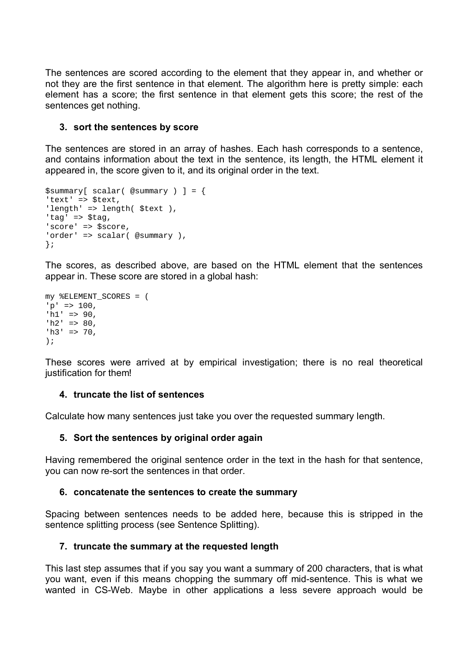The sentences are scored according to the element that they appear in, and whether or not they are the first sentence in that element. The algorithm here is pretty simple: each element has a score; the first sentence in that element gets this score; the rest of the sentences get nothing.

#### **3. sort the sentences by score**

The sentences are stored in an array of hashes. Each hash corresponds to a sentence, and contains information about the text in the sentence, its length, the HTML element it appeared in, the score given to it, and its original order in the text.

```
$summary[ scalar( @summary ) ] = { 
'text' => $text, 
'length' => length( $text ),
'tag' => $tag, 
'score' => $score, 
'order' => scalar( @summary ), 
};
```
The scores, as described above, are based on the HTML element that the sentences appear in. These score are stored in a global hash:

```
my %ELEMENT_SCORES = ( 
'p' => 100,
'h1' => 90,
'h2' => 80,
'h3' \implies 70,);
```
These scores were arrived at by empirical investigation; there is no real theoretical justification for them!

#### **4. truncate the list of sentences**

Calculate how many sentences just take you over the requested summary length.

#### **5. Sort the sentences by original order again**

Having remembered the original sentence order in the text in the hash for that sentence, you can now re-sort the sentences in that order.

#### **6. concatenate the sentences to create the summary**

Spacing between sentences needs to be added here, because this is stripped in the sentence splitting process (see Sentence Splitting).

#### **7. truncate the summary at the requested length**

This last step assumes that if you say you want a summary of 200 characters, that is what you want, even if this means chopping the summary off mid-sentence. This is what we wanted in CS-Web. Maybe in other applications a less severe approach would be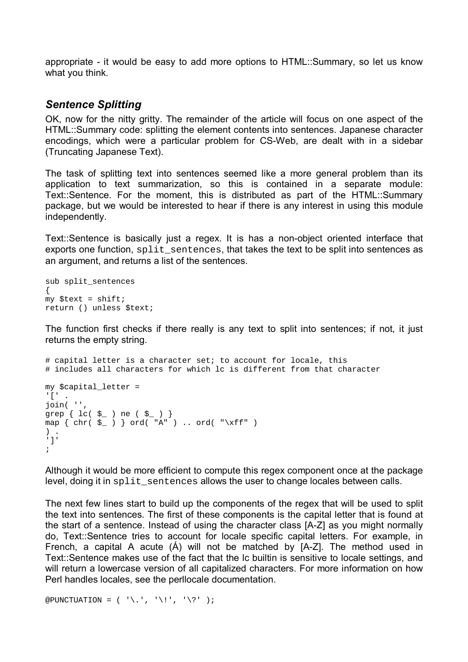appropriate - it would be easy to add more options to HTML::Summary, so let us know what you think.

### *Sentence Splitting*

OK, now for the nitty gritty. The remainder of the article will focus on one aspect of the HTML::Summary code: splitting the element contents into sentences. Japanese character encodings, which were a particular problem for CS-Web, are dealt with in a sidebar (Truncating Japanese Text).

The task of splitting text into sentences seemed like a more general problem than its application to text summarization, so this is contained in a separate module: Text::Sentence. For the moment, this is distributed as part of the HTML::Summary package, but we would be interested to hear if there is any interest in using this module independently.

Text::Sentence is basically just a regex. It is has a non-object oriented interface that exports one function, split\_sentences, that takes the text to be split into sentences as an argument, and returns a list of the sentences.

```
sub split sentences
{ 
my $text = shift;
return () unless $text;
```
The function first checks if there really is any text to split into sentences; if not, it just returns the empty string.

```
# capital letter is a character set; to account for locale, this 
# includes all characters for which lc is different from that character 
my $capital_letter = 
'[' . 
join( '', 
\frac{1}{2} grep \left\{ \begin{array}{c} 1c( \begin{array}{c} 5 \end{array}) \text{ ne } ( \begin{array}{c} 5 \end{array}) \end{array} \right\}map \{ chr(\xi_+) \} ord('A") \dots ord(''\xi'')) . 
']' 
;
```
Although it would be more efficient to compute this regex component once at the package level, doing it in split\_sentences allows the user to change locales between calls.

The next few lines start to build up the components of the regex that will be used to split the text into sentences. The first of these components is the capital letter that is found at the start of a sentence. Instead of using the character class [A-Z] as you might normally do, Text::Sentence tries to account for locale specific capital letters. For example, in French, a capital A acute  $(A)$  will not be matched by  $[A-Z]$ . The method used in Text::Sentence makes use of the fact that the lc builtin is sensitive to locale settings, and will return a lowercase version of all capitalized characters. For more information on how Perl handles locales, see the perllocale documentation.

```
@PUNCTUATION = ( '\.', '\!', '\?' );
```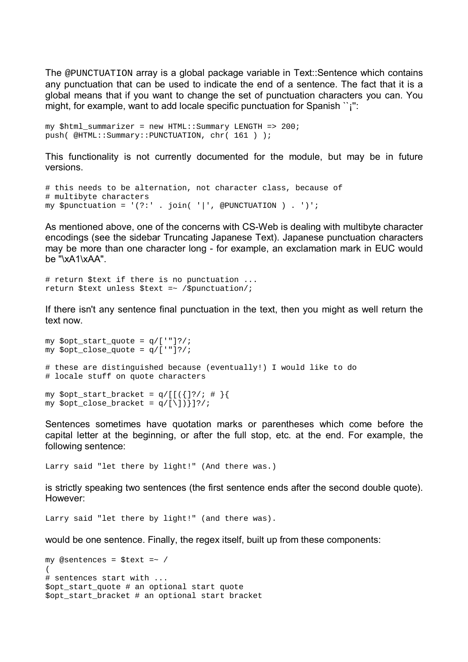The @PUNCTUATION array is a global package variable in Text::Sentence which contains any punctuation that can be used to indicate the end of a sentence. The fact that it is a global means that if you want to change the set of punctuation characters you can. You might, for example, want to add locale specific punctuation for Spanish  $\gamma$ ":

```
my $html_summarizer = new HTML::Summary LENGTH => 200; 
push( @HTML::Summary::PUNCTUATION, chr( 161 ) );
```
This functionality is not currently documented for the module, but may be in future versions.

```
# this needs to be alternation, not character class, because of 
# multibyte characters 
my $punctuation = '(?:': . join('|', @PUNCTION ) . ')';
```
As mentioned above, one of the concerns with CS-Web is dealing with multibyte character encodings (see the sidebar Truncating Japanese Text). Japanese punctuation characters may be more than one character long - for example, an exclamation mark in EUC would be "\xA1\xAA".

```
# return $text if there is no punctuation ... 
return $text unless $text =~ /$punctuation/;
```
If there isn't any sentence final punctuation in the text, then you might as well return the text now.

```
my $opt_start_quote = q/['"]?/; 
my $opt_close_quote = q/['"]?/; 
# these are distinguished because (eventually!) I would like to do 
# locale stuff on quote characters 
my $opt\_start\_bracket = q/[\lceil {}}/; # \rceilmy $opt\_close\_bracket = q/[\n\iota]\} ?/;
```
Sentences sometimes have quotation marks or parentheses which come before the capital letter at the beginning, or after the full stop, etc. at the end. For example, the following sentence:

Larry said "let there by light!" (And there was.)

is strictly speaking two sentences (the first sentence ends after the second double quote). However:

Larry said "let there by light!" (and there was).

would be one sentence. Finally, the regex itself, built up from these components:

```
my @sentences = $text =~ / 
( 
# sentences start with ... 
$opt_start_quote # an optional start quote 
$opt_start_bracket # an optional start bracket
```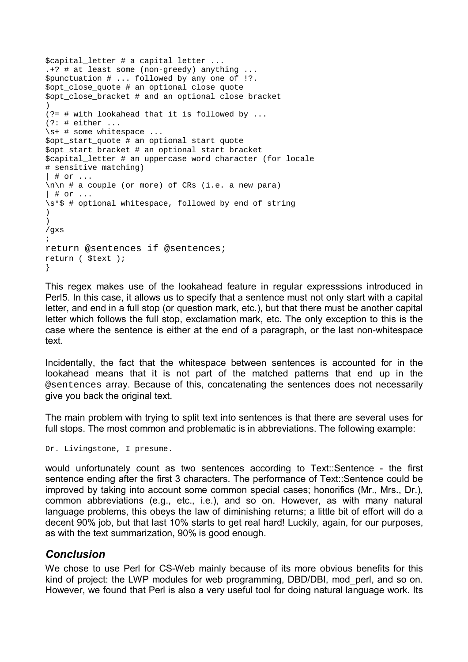```
$capital_letter # a capital letter ... 
.+? # at least some (non-greedy) anything ... 
$punctuation # ... followed by any one of !?. 
$opt_close_quote # an optional close quote 
$opt_close_bracket # and an optional close bracket 
) 
(?= # with lookahead that it is followed by ... 
(?): # either ...\s+ # some whitespace ... 
$opt_start_quote # an optional start quote 
$opt_start_bracket # an optional start bracket 
$capital_letter # an uppercase word character (for locale 
# sensitive matching) 
| # or ... 
\ln\left( n + a \right) couple (or more) of CRs (i.e. a new para)
| # or ... 
\s*$ # optional whitespace, followed by end of string 
) 
) 
/gxs 
; 
return @sentences if @sentences; 
return ( $text ); 
}
```
This regex makes use of the lookahead feature in regular expresssions introduced in Perl5. In this case, it allows us to specify that a sentence must not only start with a capital letter, and end in a full stop (or question mark, etc.), but that there must be another capital letter which follows the full stop, exclamation mark, etc. The only exception to this is the case where the sentence is either at the end of a paragraph, or the last non-whitespace text.

Incidentally, the fact that the whitespace between sentences is accounted for in the lookahead means that it is not part of the matched patterns that end up in the @sentences array. Because of this, concatenating the sentences does not necessarily give you back the original text.

The main problem with trying to split text into sentences is that there are several uses for full stops. The most common and problematic is in abbreviations. The following example:

```
Dr. Livingstone, I presume.
```
would unfortunately count as two sentences according to Text::Sentence - the first sentence ending after the first 3 characters. The performance of Text::Sentence could be improved by taking into account some common special cases; honorifics (Mr., Mrs., Dr.), common abbreviations (e.g., etc., i.e.), and so on. However, as with many natural language problems, this obeys the law of diminishing returns; a little bit of effort will do a decent 90% job, but that last 10% starts to get real hard! Luckily, again, for our purposes, as with the text summarization, 90% is good enough.

#### *Conclusion*

We chose to use Perl for CS-Web mainly because of its more obvious benefits for this kind of project: the LWP modules for web programming, DBD/DBI, mod\_perl, and so on. However, we found that Perl is also a very useful tool for doing natural language work. Its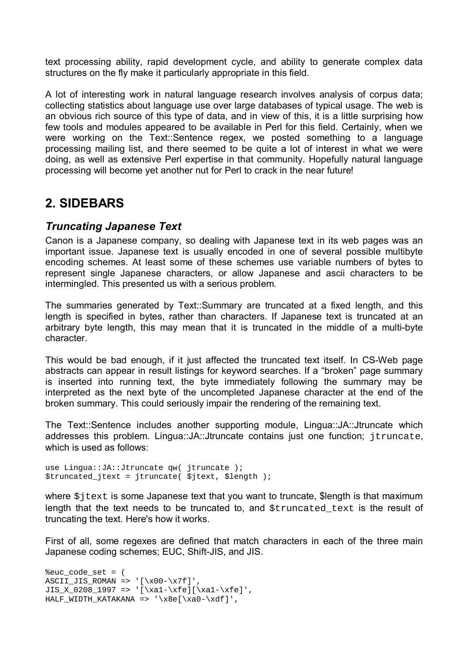text processing ability, rapid development cycle, and ability to generate complex data structures on the fly make it particularly appropriate in this field.

A lot of interesting work in natural language research involves analysis of corpus data; collecting statistics about language use over large databases of typical usage. The web is an obvious rich source of this type of data, and in view of this, it is a little surprising how few tools and modules appeared to be available in Perl for this field. Certainly, when we were working on the Text::Sentence regex, we posted something to a language processing mailing list, and there seemed to be quite a lot of interest in what we were doing, as well as extensive Perl expertise in that community. Hopefully natural language processing will become yet another nut for Perl to crack in the near future!

# **2. SIDEBARS**

## *Truncating Japanese Text*

Canon is a Japanese company, so dealing with Japanese text in its web pages was an important issue. Japanese text is usually encoded in one of several possible multibyte encoding schemes. At least some of these schemes use variable numbers of bytes to represent single Japanese characters, or allow Japanese and ascii characters to be intermingled. This presented us with a serious problem.

The summaries generated by Text::Summary are truncated at a fixed length, and this length is specified in bytes, rather than characters. If Japanese text is truncated at an arbitrary byte length, this may mean that it is truncated in the middle of a multi-byte character.

This would be bad enough, if it just affected the truncated text itself. In CS-Web page abstracts can appear in result listings for keyword searches. If a "broken" page summary is inserted into running text, the byte immediately following the summary may be interpreted as the next byte of the uncompleted Japanese character at the end of the broken summary. This could seriously impair the rendering of the remaining text.

The Text::Sentence includes another supporting module, Lingua::JA::Jtruncate which addresses this problem. Lingua::JA::Jtruncate contains just one function; jtruncate, which is used as follows:

use Lingua::JA::Jtruncate qw( jtruncate ); \$truncated\_jtext = jtruncate( \$jtext, \$length );

where  $s$  it ext is some Japanese text that you want to truncate. Slength is that maximum length that the text needs to be truncated to, and  $\frac{1}{2}$ truncated\_text is the result of truncating the text. Here's how it works.

First of all, some regexes are defined that match characters in each of the three main Japanese coding schemes; EUC, Shift-JIS, and JIS.

%euc\_code\_set = ( ASCII JIS ROMAN => ' $[\x00-\x7f]'$ , JIS X\_0208\_1997 => '[\xa1-\xfe][\xa1-\xfe]', HALF\_WIDTH\_KATAKANA =>  $'\x8e[\x80-\xdf]'$ ,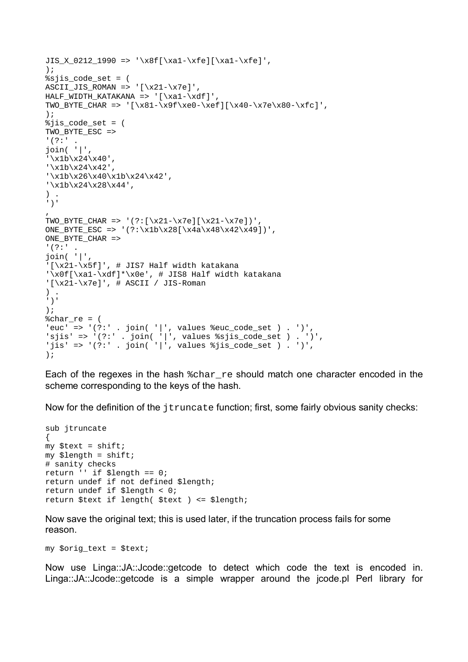```
JIS_X_0212_1990 \implies ' \x8f[\xa1-\xfe][\xa1-\xfe]'); 
ssjis code set = (
ASCII_JIS_ROMAN => '[\x21-\x7e]',
HALF_WIDTH_KATAKANA => '[\xa1-\xdf]',
TWO_BYTE_CHAR => '[\x81-\x9f\xe0-\xef][\x40-\x7e\x80-\xfc]', 
); 
%jis_code_set = ( 
TWO_BYTE_ESC => 
'(?:'
join( '|', 
'\x1b\x24\x40', 
'\x1b\x24\x42', 
'\x1b\x26\x40\x1b\x24\x42', 
'\x1b\x24\x28\x44',
) . 
')' 
\mathbf{r}TWO BYTE CHAR => '(?:[\x21-\x7e][\x21-\x7e])',
ONE_BYTE_ESC => '(?:\x1b\x28[\x4a\x48\x42\x49])',
ONE BYTE CHAR =>
'(?:' .
join( '|', 
'[\x21-\x5f]', # JIS7 Half width katakana 
'\x0f[\xa1-\xdf]*\x0e', # JIS8 Half width katakana 
'[\x21-\x7e]', # ASCII / JIS-Roman
) . 
')' 
); 
%char_re = ('euc' => '(?:' . join( '|', values %euc_code_set ) . ')',
'sjis' => '(?:' . join( '|', values %sjis_code_set ) . ')', 
'jis' => '(?:' . join( '|', values %jis_code_set ) . ')',
);
```
Each of the regexes in the hash  $\epsilon_{\text{char}}$  re should match one character encoded in the scheme corresponding to the keys of the hash.

Now for the definition of the jtruncate function; first, some fairly obvious sanity checks:

```
sub jtruncate 
{ 
my $text = shift;
my $length = shift; 
# sanity checks 
return '' if $length == 0; 
return undef if not defined $length; 
return undef if $length < 0; 
return $text if length( $text ) <= $length;
```
Now save the original text; this is used later, if the truncation process fails for some reason.

my \$orig\_text = \$text;

Now use Linga::JA::Jcode::getcode to detect which code the text is encoded in. Linga::JA::Jcode::getcode is a simple wrapper around the jcode.pl Perl library for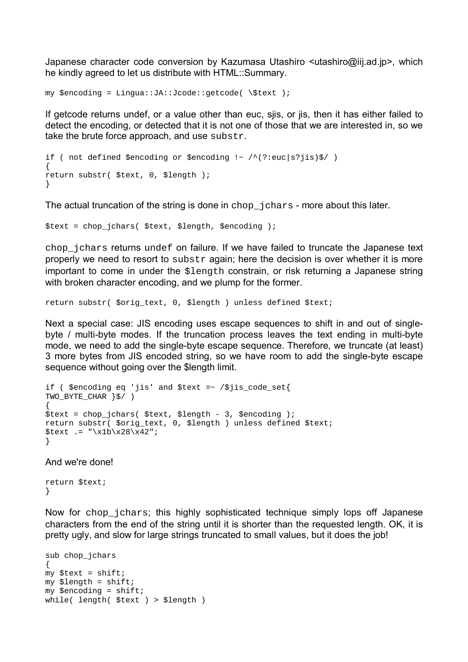Japanese character code conversion by Kazumasa Utashiro <utashiro@iij.ad.jp>, which he kindly agreed to let us distribute with HTML::Summary.

```
my $encoding = Lingua::JA::Jcode::getcode( \$text );
```
If getcode returns undef, or a value other than euc, sjis, or jis, then it has either failed to detect the encoding, or detected that it is not one of those that we are interested in, so we take the brute force approach, and use substr.

```
if ( not defined $encoding or $encoding \sim /^(?:euc|s?jis)$/ )
{ 
return substr( $text, 0, $length ); 
}
```
The actual truncation of the string is done in chop\_jchars - more about this later.

\$text = chop\_jchars( \$text, \$length, \$encoding );

chop\_jchars returns undef on failure. If we have failed to truncate the Japanese text properly we need to resort to substr again; here the decision is over whether it is more important to come in under the \$length constrain, or risk returning a Japanese string with broken character encoding, and we plump for the former.

return substr( \$orig\_text, 0, \$length ) unless defined \$text;

Next a special case: JIS encoding uses escape sequences to shift in and out of singlebyte / multi-byte modes. If the truncation process leaves the text ending in multi-byte mode, we need to add the single-byte escape sequence. Therefore, we truncate (at least) 3 more bytes from JIS encoded string, so we have room to add the single-byte escape sequence without going over the \$length limit.

```
if ( $encoding eq 'jis' and $text =~ /$jis_code_set{ 
TWO_BYTE_CHAR }$/ ) 
{ 
$text = chop_jchars( $text, $length - 3, $encoding ); 
return substr( $orig_text, 0, $length ) unless defined $text; 
\text{?} \text{?} \text{?} \text{?} \text{?}}
```
And we're done!

return \$text; }

Now for chop jchars; this highly sophisticated technique simply lops off Japanese characters from the end of the string until it is shorter than the requested length. OK, it is pretty ugly, and slow for large strings truncated to small values, but it does the job!

```
sub chop_jchars 
{ 
my $text = shift;
my $length = shift;
my $encoding = shift;
while( length( $text ) > $length )
```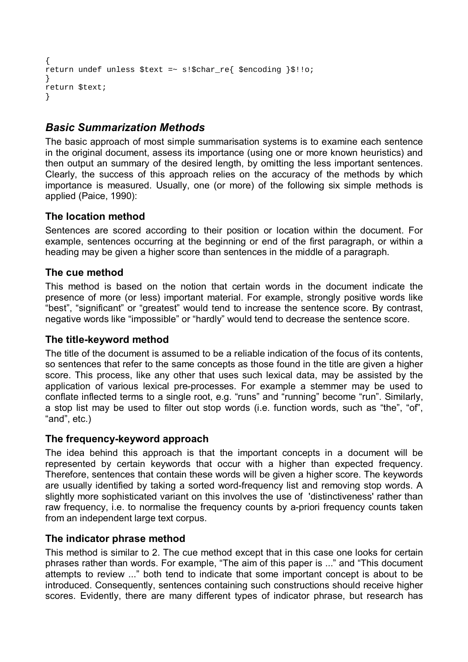```
{ 
return undef unless $text =~ s!$char re{ $encoding }$!!o;
} 
return $text; 
}
```
## *Basic Summarization Methods*

The basic approach of most simple summarisation systems is to examine each sentence in the original document, assess its importance (using one or more known heuristics) and then output an summary of the desired length, by omitting the less important sentences. Clearly, the success of this approach relies on the accuracy of the methods by which importance is measured. Usually, one (or more) of the following six simple methods is applied (Paice, 1990):

## **The location method**

Sentences are scored according to their position or location within the document. For example, sentences occurring at the beginning or end of the first paragraph, or within a heading may be given a higher score than sentences in the middle of a paragraph.

## **The cue method**

This method is based on the notion that certain words in the document indicate the presence of more (or less) important material. For example, strongly positive words like "best", "significant" or "greatest" would tend to increase the sentence score. By contrast, negative words like "impossible" or "hardly" would tend to decrease the sentence score.

### **The title-keyword method**

The title of the document is assumed to be a reliable indication of the focus of its contents, so sentences that refer to the same concepts as those found in the title are given a higher score. This process, like any other that uses such lexical data, may be assisted by the application of various lexical pre-processes. For example a stemmer may be used to conflate inflected terms to a single root, e.g. "runs" and "running" become "run". Similarly, a stop list may be used to filter out stop words (i.e. function words, such as "the", "of",  $"and", etc.$ )

### **The frequency-keyword approach**

The idea behind this approach is that the important concepts in a document will be represented by certain keywords that occur with a higher than expected frequency. Therefore, sentences that contain these words will be given a higher score. The keywords are usually identified by taking a sorted word-frequency list and removing stop words. A slightly more sophisticated variant on this involves the use of 'distinctiveness' rather than raw frequency, i.e. to normalise the frequency counts by a-priori frequency counts taken from an independent large text corpus.

### **The indicator phrase method**

This method is similar to 2. The cue method except that in this case one looks for certain phrases rather than words. For example, "The aim of this paper is ..." and "This document attempts to review ..." both tend to indicate that some important concept is about to be introduced. Consequently, sentences containing such constructions should receive higher scores. Evidently, there are many different types of indicator phrase, but research has